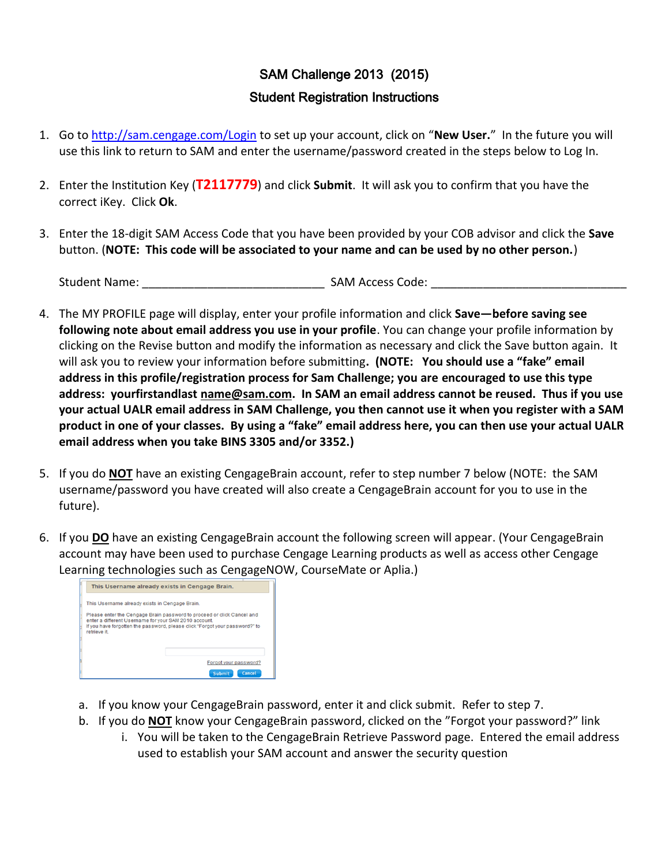## SAM Challenge 2013 (2015) Student Registration Instructions

- 1. Go t[o http://sam.cengage.com/Login](http://sam.cengage.com/Login) to set up your account, click on "**New User.**" In the future you will use this link to return to SAM and enter the username/password created in the steps below to Log In.
- 2. Enter the Institution Key (**T2117779**) and click **Submit**. It will ask you to confirm that you have the correct iKey. Click **Ok**.
- 3. Enter the 18-digit SAM Access Code that you have been provided by your COB advisor and click the **Save** button. (**NOTE: This code will be associated to your name and can be used by no other person.**)

Student Name: The Communication of the SAM Access Code:  $\mathsf{SAM}\,\mathsf{Access}\,\mathsf{Code}\, \mathsf{SAR}\, \mathsf{Code}\, \mathsf{SAR}\, \mathsf{Code}\, \mathsf{SAR}\, \mathsf{Code}\, \mathsf{SAR}\, \mathsf{Code}\, \mathsf{SAR}\, \mathsf{Code}\, \mathsf{SAR}\, \mathsf{See}$ 

- 4. The MY PROFILE page will display, enter your profile information and click **Save—before saving see following note about email address you use in your profile**. You can change your profile information by clicking on the Revise button and modify the information as necessary and click the Save button again. It will ask you to review your information before submitting**. (NOTE: You should use a "fake" email address in this profile/registration process for Sam Challenge; you are encouraged to use this type address: yourfirstandlast [name@sam.com.](mailto:name@sam.com) In SAM an email address cannot be reused. Thus if you use your actual UALR email address in SAM Challenge, you then cannot use it when you register with a SAM product in one of your classes. By using a "fake" email address here, you can then use your actual UALR email address when you take BINS 3305 and/or 3352.)**
- 5. If you do **NOT** have an existing CengageBrain account, refer to step number 7 below (NOTE: the SAM username/password you have created will also create a CengageBrain account for you to use in the future).
- 6. If you **DO** have an existing CengageBrain account the following screen will appear. (Your CengageBrain account may have been used to purchase Cengage Learning products as well as access other Cengage Learning technologies such as CengageNOW, CourseMate or Aplia.)

| This Username already exists in Cengage Brain.                                                                                                                                                                                 |                       |  |  |  |  |
|--------------------------------------------------------------------------------------------------------------------------------------------------------------------------------------------------------------------------------|-----------------------|--|--|--|--|
| This Username already exists in Cengage Brain.                                                                                                                                                                                 |                       |  |  |  |  |
| Please enter the Cengage Brain password to proceed or click Cancel and<br>enter a different Username for your SAM 2010 account.<br>If you have forgotten the password, please click "Forgot your password?" to<br>retrieve it. |                       |  |  |  |  |
|                                                                                                                                                                                                                                | Forgot your password? |  |  |  |  |
|                                                                                                                                                                                                                                | Cancel<br>Submit      |  |  |  |  |

- a. If you know your CengageBrain password, enter it and click submit. Refer to step 7.
- b. If you do **NOT** know your CengageBrain password, clicked on the "Forgot your password?" link
	- i. You will be taken to the CengageBrain Retrieve Password page. Entered the email address used to establish your SAM account and answer the security question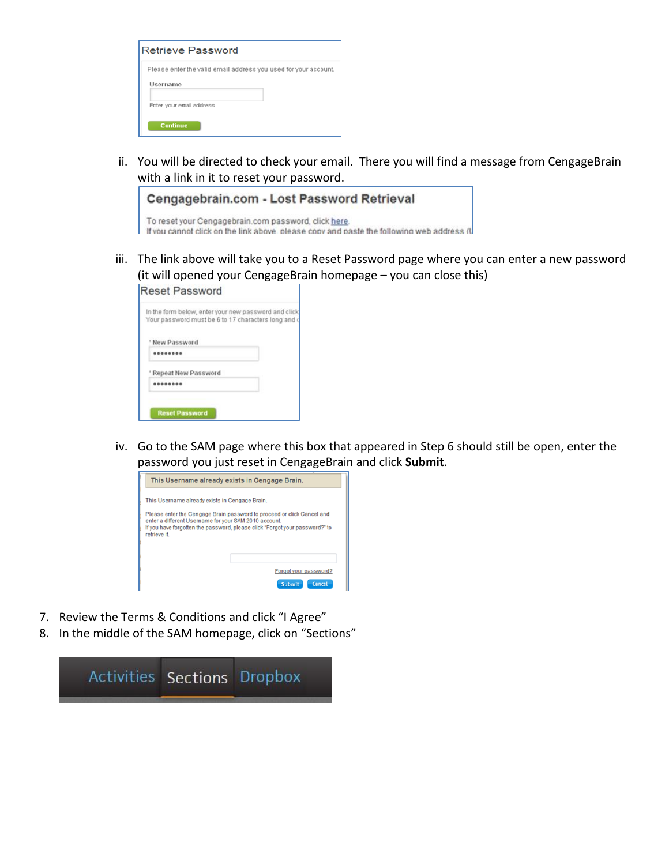| <b>Retrieve Password</b>                                                                                                   |
|----------------------------------------------------------------------------------------------------------------------------|
| Please enter the valid email address you used for your account.<br>Username<br>Enter your email address<br><b>Continue</b> |

ii. You will be directed to check your email. There you will find a message from CengageBrain with a link in it to reset your password.

| Cengagebrain.com - Lost Password Retrieval                                                                                                        |  |  |  |
|---------------------------------------------------------------------------------------------------------------------------------------------------|--|--|--|
| To reset your Cengagebrain.com password, click here.<br>If you cannot click on the link above, please copy and paste the following web address (L |  |  |  |

iii. The link above will take you to a Reset Password page where you can enter a new password (it will opened your CengageBrain homepage – you can close this)

|              |                            | In the form below, enter your new password and click<br>Your password must be 6 to 17 characters long and o |
|--------------|----------------------------|-------------------------------------------------------------------------------------------------------------|
| New Password |                            |                                                                                                             |
|              |                            |                                                                                                             |
|              | <b>Repeat New Password</b> |                                                                                                             |
|              |                            |                                                                                                             |

iv. Go to the SAM page where this box that appeared in Step 6 should still be open, enter the password you just reset in CengageBrain and click **Submit**.



- 7. Review the Terms & Conditions and click "I Agree"
- 8. In the middle of the SAM homepage, click on "Sections"